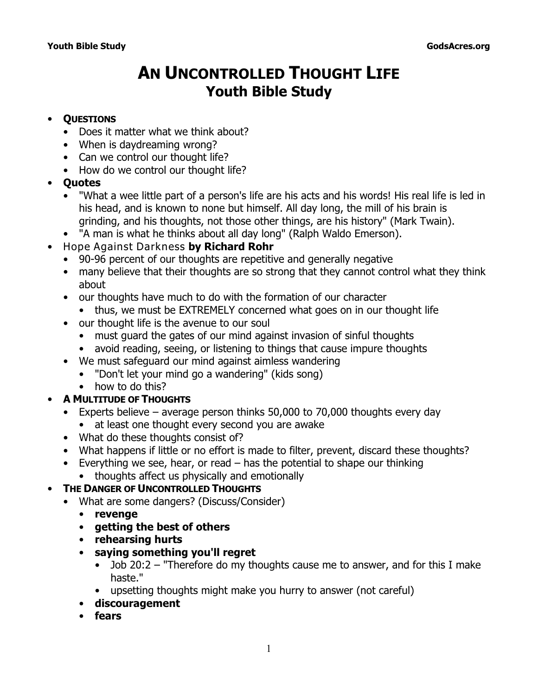# **AN UNCONTROLLED THOUGHT LIFE Youth Bible Study**

#### • **QUESTIONS**

- Does it matter what we think about?
- When is daydreaming wrong?
- Can we control our thought life?
- How do we control our thought life?
- **Quotes**
	- "What a wee little part of a person's life are his acts and his words! His real life is led in his head, and is known to none but himself. All day long, the mill of his brain is grinding, and his thoughts, not those other things, are his history" (Mark Twain).
	- "A man is what he thinks about all day long" (Ralph Waldo Emerson).
- *Hope Against Darkness* **by Richard Rohr**
	- 90-96 percent of our thoughts are repetitive and generally negative
	- many believe that their thoughts are so strong that they cannot control what they think about
	- our thoughts have much to do with the formation of our character
		- thus, we must be EXTREMELY concerned what goes on in our thought life
	- our thought life is the avenue to our soul
		- must guard the gates of our mind against invasion of sinful thoughts
		- avoid reading, seeing, or listening to things that cause impure thoughts
	- We must safeguard our mind against aimless wandering
		- "Don't let your mind go a wandering" (kids song)
		- how to do this?

## • **A MULTITUDE OF THOUGHTS**

- Experts believe average person thinks 50,000 to 70,000 thoughts every day
	- at least one thought every second you are awake
- What do these thoughts consist of?
- What happens if little or no effort is made to filter, prevent, discard these thoughts?
- Everything we see, hear, or read has the potential to shape our thinking
- thoughts affect us physically and emotionally

## • **THE DANGER OF UNCONTROLLED THOUGHTS**

- What are some dangers? (Discuss/Consider)
	- **revenge**
	- **getting the best of others**
	- **rehearsing hurts**
	- **saying something you'll regret**
		- Job 20:2  *"Therefore do my thoughts cause me to answer, and for this I make haste."*
		- upsetting thoughts might make you hurry to answer (not careful)
	- **discouragement**
	- **fears**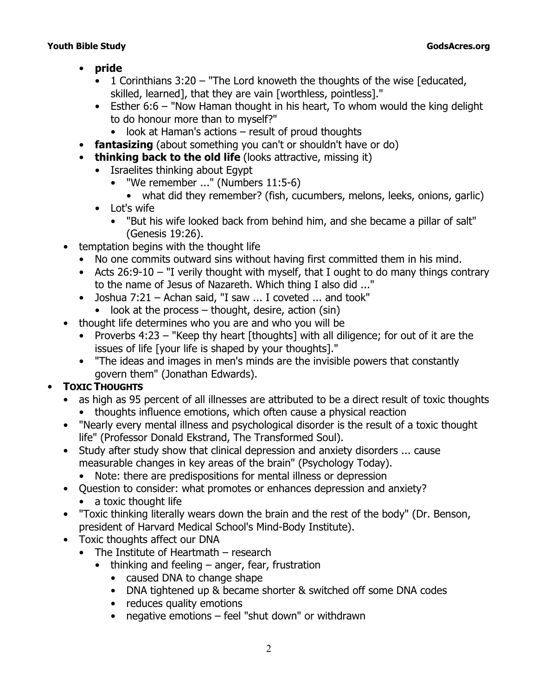- **pride**
	- 1 Corinthians 3:20 "The Lord knoweth the thoughts of the wise [educated, skilled, learned], *that they are vain* [worthless, pointless]."
	- Esther 6:6  *"Now Haman thought in his heart, To whom would the king delight to do honour more than to myself?"* 
		- look at Haman's actions result of proud thoughts
- **fantasizing** (about something you can't or shouldn't have or do)
- **thinking back to the old life** (looks attractive, missing it)
	- Israelites thinking about Egypt
		- *"We remember ..."* (Numbers 11:5-6)
			- what did they remember? (fish, cucumbers, melons, leeks, onions, garlic)
	- Lot's wife
		- *"But his wife looked back from behind him, and she became a pillar of salt"* (Genesis 19:26).
- temptation begins with the thought life
	- No one commits outward sins without having *first* committed them in his mind.
	- Acts 26:9-10  *"I verily thought with myself, that I ought to do many things contrary to the name of Jesus of Nazareth. Which thing I also did ..."*
	- Joshua 7:21 Achan said, *"I saw ... I coveted ... and took"* 
		- $\bullet$  look at the process thought, desire, action (sin)
- thought life determines who you are and who you will be
	- Proverbs 4:23  *"Keep thy heart* [thoughts] *with all diligence; for out of it are the issues of life* [your life is shaped by your thoughts]*."*
	- "The ideas and images in men's minds are the invisible powers that constantly govern them" (Jonathan Edwards).

# • **TOXIC THOUGHTS**

- as high as 95 percent of all illnesses are attributed to be a direct result of toxic thoughts
	- thoughts influence emotions, which often cause a physical reaction
- "Nearly every mental illness and psychological disorder is the result of a toxic thought life" (Professor Donald Ekstrand, *The Transformed Soul*).
- Study after study show that clinical depression and anxiety disorders ... cause measurable changes in key areas of the brain" (*Psychology Today*).
	- Note: there are predispositions for mental illness or depression
- Question to consider: what promotes or enhances depression and anxiety?
	- a toxic thought life
- "Toxic thinking literally wears down the brain and the rest of the body" (Dr. Benson, president of Harvard Medical School's Mind-Body Institute).
- Toxic thoughts affect our DNA
	- The Institute of Heartmath research
		- thinking and feeling anger, fear, frustration
			- caused DNA to change shape
			- DNA tightened up & became shorter & switched off some DNA codes
			- reduces quality emotions
			- negative emotions feel "shut down" or withdrawn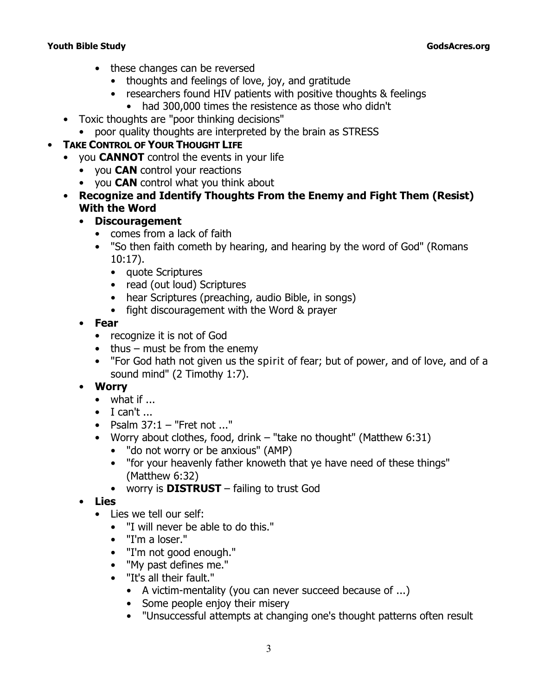#### **Youth Bible Study GodsAcres.org**

- these changes can be reversed
	- thoughts and feelings of love, joy, and gratitude
	- researchers found HIV patients with positive thoughts & feelings
		- had 300,000 times the resistence as those who didn't
- Toxic thoughts are "poor thinking decisions"
	- poor quality thoughts are interpreted by the brain as STRESS

# • **TAKE CONTROL OF YOUR THOUGHT LIFE**

- you **CANNOT** control the events in your life
	- you **CAN** control your reactions
	- you **CAN** control what you think about
- **Recognize and Identify Thoughts From the Enemy and Fight Them (Resist) With the Word**
	- **Discouragement**
		- comes from a lack of faith
		- *"So then faith cometh by hearing, and hearing by the word of God"* (Romans 10:17).
			- quote Scriptures
			- read (out loud) Scriptures
			- hear Scriptures (preaching, audio Bible, in songs)
			- fight discouragement with the Word & prayer
	- **Fear**
		- recognize it is not of God
		- thus must be from the enemy
		- *"For God hath not given us the spirit of fear; but of power, and of love, and of a sound mind"* (2 Timothy 1:7).
	- **Worry**
		- what if ...
		- $\bullet$  I can't ...
		- Psalm 37:1  *"Fret not ..."*
		- Worry about clothes, food, drink *"take no thought"* (Matthew 6:31)
			- *"do not worry or be anxious"* (AMP)
			- *"for your heavenly father knoweth that ye have need of these things" (*Matthew 6:32)
			- worry is **DISTRUST** failing to trust God
	- **Lies**
		- Lies we tell our self:
			- "I will never be able to do this."
			- "I'm a loser."
			- "I'm not good enough."
			- "My past defines me."
			- "It's all their fault."
				- A victim-mentality (you can never succeed because of ...)
				- Some people enjoy their misery
				- "Unsuccessful attempts at changing one's thought patterns often result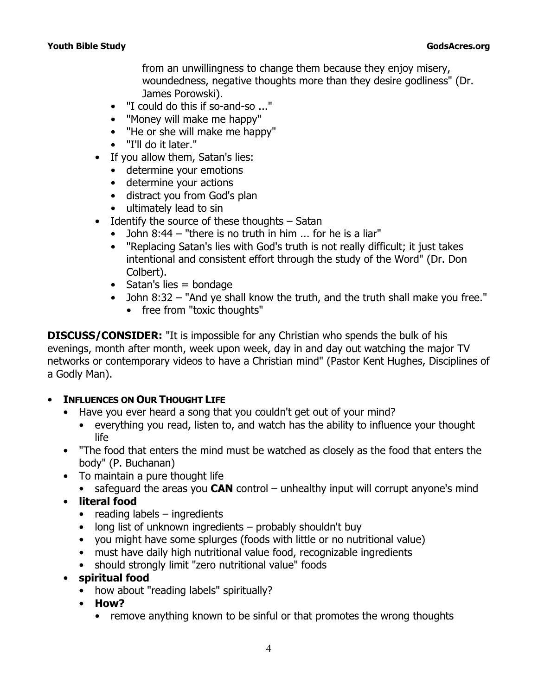from an unwillingness to change them because they enjoy misery, woundedness, negative thoughts more than they desire godliness" (Dr. James Porowski).

- "I could do this if so-and-so ..."
- "Money will make me happy"
- "He or she will make me happy"
- "I'll do it later."
- If you allow them, Satan's lies:
	- determine your emotions
	- determine your actions
	- distract you from God's plan
	- ultimately lead to sin
- *Identify* the source of these thoughts Satan
	- John 8:44  *"there is no truth in him ... for he is a liar"*
	- "Replacing Satan's lies with God's truth is not really difficult; it just takes intentional and consistent effort through the study of the Word" (Dr. Don Colbert).
	- $\bullet$  Satan's lies = bondage
	- John 8:32  *"And ye shall know the truth, and the truth shall make you free."*
		- free from "toxic thoughts"

**DISCUSS/CONSIDER:** "It is impossible for any Christian who spends the bulk of his evenings, month after month, week upon week, day in and day out watching the major TV networks or contemporary videos to have a Christian mind" (Pastor Kent Hughes, *Disciplines of a Godly Man*).

#### • **INFLUENCES ON OUR THOUGHT LIFE**

- Have you ever heard a song that you couldn't get out of your mind?
	- everything you read, listen to, and watch has the ability to influence your thought life
- "The food that enters the mind must be watched as closely as the food that enters the body" (P. Buchanan)
- To maintain a pure thought life
	- safeguard the areas you **CAN** control unhealthy input will corrupt anyone's mind
- **literal food** 
	- reading labels ingredients
	- long list of unknown ingredients probably shouldn't buy
	- you might have some splurges (foods with little or no nutritional value)
	- must have daily high nutritional value food, recognizable ingredients
	- should strongly limit "zero nutritional value" foods
- **spiritual food** 
	- how about "reading labels" spiritually?
	- **How?**
		- remove anything known to be sinful or that promotes the wrong thoughts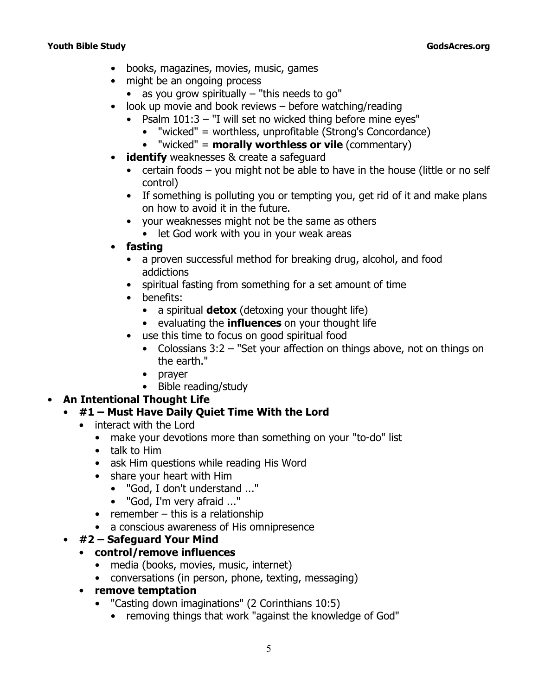- books, magazines, movies, music, games
- might be an ongoing process
	- as you grow spiritually "this needs to go"
- look up movie and book reviews before watching/reading
	- Psalm 101:3  *"I will set no wicked thing before mine eyes"*
		- "wicked" = worthless, unprofitable (Strong's Concordance)
		- "wicked" = **morally worthless or vile** (commentary)
- **identify** weaknesses & create a safeguard
	- certain foods you might not be able to have in the house (little or no self control)
	- If something is polluting you or tempting you, get rid of it and make plans on how to avoid it in the future.
	- your weaknesses might not be the same as others
		- let God work with you in your weak areas
- **fasting**
	- a proven successful method for breaking drug, alcohol, and food addictions
	- spiritual fasting from something for a set amount of time
	- benefits:
		- a spiritual **detox** (detoxing your thought life)
		- evaluating the **influences** on your thought life
	- use this time to focus on good spiritual food
		- Colossians 3:2  *"Set your affection on things above, not on things on the earth."*
		- prayer
		- Bible reading/study

#### • **An Intentional Thought Life**

## • **#1 – Must Have Daily Quiet Time With the Lord**

- interact with the Lord
	- make your devotions more than something on your "to-do" list
	- talk to Him
	- ask Him questions while reading His Word
	- share your heart with Him
		- "God, I don't understand ..."
		- "God, I'm very afraid ..."
	- $\bullet$  remember this is a relationship
	- a conscious awareness of His omnipresence

#### • **#2 – Safeguard Your Mind**

#### • **control/remove influences**

- media (books, movies, music, internet)
- conversations (in person, phone, texting, messaging)
- **remove temptation**
	- *"Casting down imaginations"* (2 Corinthians 10:5)
		- removing things that work *"against the knowledge of God"*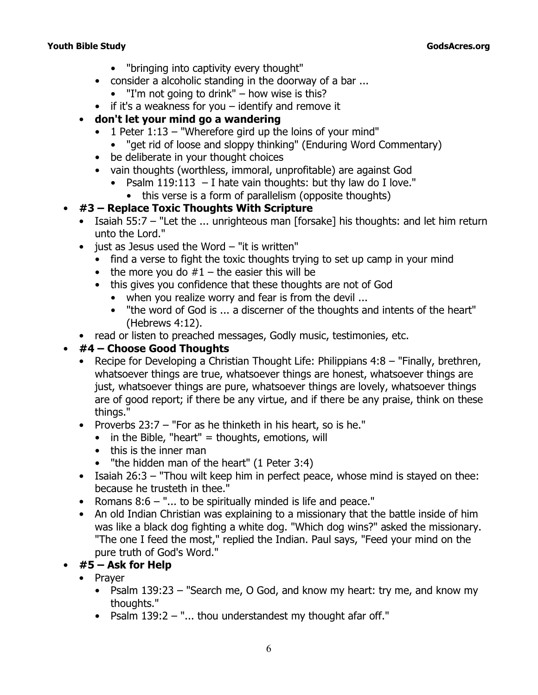#### **Youth Bible Study GodsAcres.org**

- *"bringing into captivity every thought"*
- consider a alcoholic standing in the doorway of a bar ...
	- $\bullet$  "I'm not going to drink" how wise is this?
- if it's a weakness for you identify and remove it
- **don't let your mind go a wandering**
	- 1 Peter 1:13  *"Wherefore gird up the loins of your mind"*
		- "get rid of loose and sloppy thinking" (*Enduring Word Commentary*)
	- be deliberate in your thought choices
	- vain thoughts (worthless, immoral, unprofitable) are against God
		- Psalm 119:113  *I hate vain thoughts: but thy law do I love."*
			- this verse is a form of parallelism (opposite thoughts)

## • **#3 – Replace Toxic Thoughts With Scripture**

- Isaiah 55:7  *"Let the ... unrighteous man* [forsake] *his thoughts: and let him return unto the Lord."*
- $\bullet$  just as Jesus used the Word  $-$  "it is written"
	- find a verse to fight the toxic thoughts trying to set up camp in your mind
	- the more you do  $#1$  the easier this will be
	- this gives you confidence that these thoughts are not of God
		- when you realize worry and fear is from the devil ...
		- *"the word of God is ... a discerner of the thoughts and intents of the heart"* (Hebrews 4:12).
- read or listen to preached messages, Godly music, testimonies, etc.

# • **#4 – Choose Good Thoughts**

- Recipe for Developing a Christian Thought Life: Philippians 4:8  *"Finally, brethren, whatsoever things are true, whatsoever things are honest, whatsoever things are just, whatsoever things are pure, whatsoever things are lovely, whatsoever things are of good report; if there be any virtue, and if there be any praise, think on these things."*
- Proverbs 23:7  *"For as he thinketh in his heart, so is he."*
	- $\bullet$  in the Bible, "heart" = thoughts, emotions, will
	- this is the inner man
	- *"the hidden man of the heart"* (1 Peter 3:4)
- Isaiah 26:3  *"Thou wilt keep him in perfect peace, whose mind is stayed on thee: because he trusteth in thee."*
- Romans 8:6  *"... to be spiritually minded is life and peace."*
- An old Indian Christian was explaining to a missionary that the battle inside of him was like a black dog fighting a white dog. "Which dog wins?" asked the missionary. "The one I feed the most," replied the Indian. Paul says, "Feed your mind on the pure truth of God's Word."

# • **#5 – Ask for Help**

- Prayer
	- Psalm 139:23  *"Search me, O God, and know my heart: try me, and know my thoughts."*
	- Psalm 139:2  *"... thou understandest my thought afar off."*